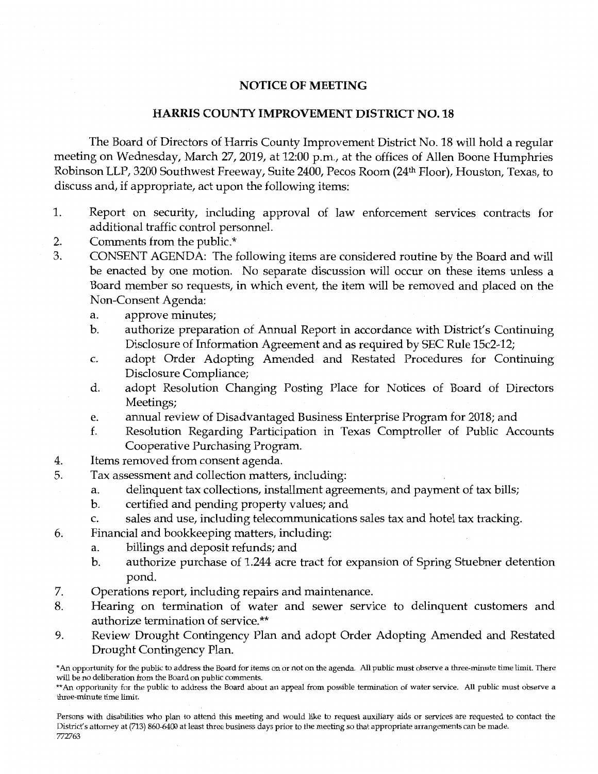## NOTICE OF MEETING

## HARRIS COUNTY IMPROVEMENT DISTRICT NO. 18

The Board of Directors of Harris County Improvement District No. 18 will hold a regular meeting on Wednesday, March 27, 2019, at 12:00 p.m., at the offices of Allen Boone Humphries Robinson LLP, 3200 Southwest Freeway, Suite 2400, Pecos Room (24th Floor), Houston, Texas, to discuss and, if appropriate, act upon the following items:

- 1. Report on security, including approval of law enforcement services contracts for additional traffic control personnel.
- 2. Comments from the public.\*
- 3. CONSENT AGENDA: The following items are considered routine by the Board and will be enacted by one motion. No separate discussion will occur on these items unless a Board member so requests, in which event, the item will be removed and placed on the Non-Consent Agenda:
	- a. approve minutes;
	- b. authorize preparation of Annual Report in accordance with District's Continuing Disclosure of Information Agreement and as required by SEC Rule 15c2-12;
	- c. adopt Order Adopting Amended and Restated Procedures for Continuing Disclosure Compliance;
	- d. adopt Resolution Changing Posting Place for Notices of Board of Directors Meetings;
	- e. annual review of Disadvantaged Business Enterprise Program for 2018; and
	- f. Resolution Regarding Participation in Texas Comptroller of Public Accounts Cooperative Purchasing Program.
- 4. Items removed from consent agenda.
- 5. Tax assessment and collection matters, including:
	- a. delinquent tax collections, installment agreements, and payment of tax bills;
	- b. certified and pending property values; and
	- c. sales and use, including telecommunications sales tax and hotel tax tracking.
- 6. Financial and bookkeeping matters, including:
	- a. billings and deposit refunds; and
	- b. authorize purchase of 1.244 acre tract for expansion of Spring Stuebner detention pond.
- 7. Operations report, including repairs and maintenance.
- 8. Hearing on termination of water and sewer service to delinquent customers and authorize termination of service.\*\*
- 9. Review Drought Contingency Plan and adopt Order Adopting Amended and Restated Drought Contingency Plan.

<sup>\*</sup>An opportunity for the public to address the Board for items on or not on the agenda. All public must observe a three-minute time limit. There will be no deliberation from the Board on public comments.

<sup>\*\*</sup> An opportunity for the public to address the Board about an appeal from possible termination of water service. All public must observe a three-minute time limit.

Persons with disabilities who plan to attend this meeting and would like to request auxiliary aids or services are requested to contact the District's attorney at (713) 860-6400 at least three business days prior to the meeting so that appropriate arrangements can be made. 772763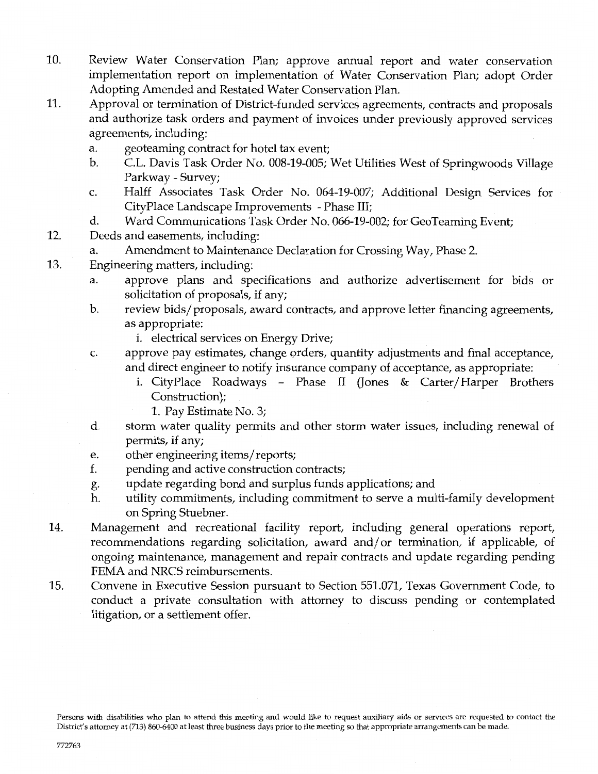- 10. Review Water Conservation Plan; approve annual report and water conservation implementation report on implementation of Water Conservation Plan; adopt Order Adopting Amended and Restated Water Conservation Plan.
- 11. Approval or termination of District-funded services agreements, contracts and proposals and authorize task orders and payment of invoices under previously approved services agreements, including:
	- a. geoteaming contract for hotel tax event;
	- b. C.L. Davis Task Order No. 008-19-005; Wet Utilities West of Springwoods Village Parkway - Survey;
	- c. Halff Associates Task Order No. 064-19-007; Additional Design Services for CityPlace Landscape Improvements - Phase III;
	- d. Ward Communications Task Order No. 066-19-002; for GeoTeaming Event;
- 12. Deeds and easements, including:
	- a. Amendment to Maintenance Declaration for Crossing Way, Phase 2.
- 13. Engineering matters, including:
	- a. approve plans and specifications and authorize advertisement for bids or solicitation of proposals, if any;
	- b. review bids/proposals, award contracts, and approve letter financing agreements, as appropriate:
		- i. electrical services on Energy Drive;
	- c. approve pay estimates, change orders, quantity adjustments and final acceptance, and direct engineer to notify insurance company of acceptance, as appropriate:
		- I. CityPlace Roadways Phase II (Jones & Carter/Harper Brothers Construction);
			- 1. Pay Estimate No. 3;
	- d. storm water quality permits and other storm water issues, including renewal of permits, if any;
	- e. other engineering items/reports;
	- f. pending and active construction contracts;
	- g. update regarding bond and surplus funds applications; and
	- h. utility commitments, including commitment to serve a multi-family development on Spring Stuebner.
- 14. Management and recreational facility report, including general operations report, recommendations regarding solicitation, award and/ or termination, if applicable, of ongoing maintenance, management and repair contracts and update regarding pending FEMA and NRCS reimbursements.
- 15. Convene in Executive Session pursuant to Section 551.071, Texas Government Code, to conduct a private consultation with attorney to discuss pending or contemplated litigation, or a settlement offer.

Persons with disabilities who plan to attend this meeting and would like to request auxiliary aids or services are requested to contact the District's attorney at (713) 860-6400 at least three business days prior to the meeting so that appropriate arrangements can be made.